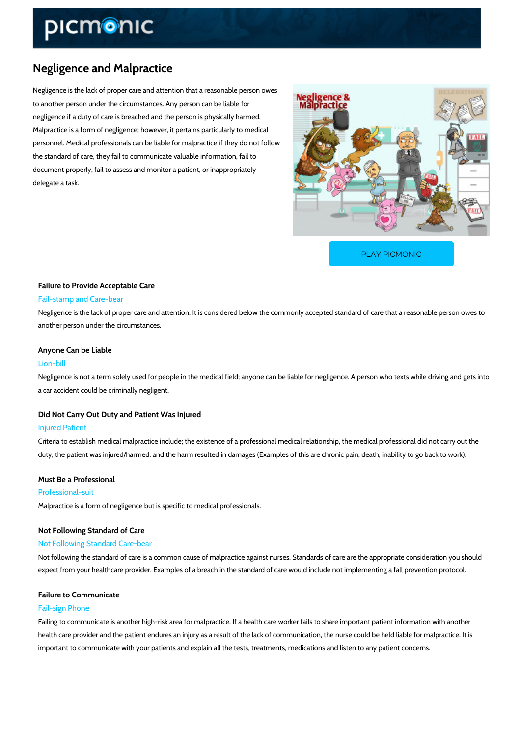# Negligence and Malpractice

Negligence is the lack of proper care and attention that a reasonable person owes to another person under the circumstances. Any person can be liable for negligence if a duty of care is breached and the person is physically harmed. Malpractice is a form of negligence; however, it pertains particularly to medical personnel. Medical professionals can be liable for malpractice if they do not follow the standard of care, they fail to communicate valuable information, fail to document properly, fail to assess and monitor a patient, or inappropriately delegate a task.

[PLAY PICMONIC](https://www.picmonic.com/learn/negligence-and-malpractice_10925?utm_source=downloadable_content&utm_medium=distributedcontent&utm_campaign=pathways_pdf&utm_content=Negligence and Malpractice&utm_ad_group=leads&utm_market=all)

# Failure to Provide Acceptable Care Fail-stamp and Care-bear

Negligence is the lack of proper care and attention. It is considered below the commonly acce another person under the circumstances.

# Anyone Can be Liable

# Lion-bill

Negligence is not a term solely used for people in the medical field; anyone can be liable for a car accident could be criminally negligent.

## Did Not Carry Out Duty and Patient Was Injured

#### Injured Patient

Criteria to establish medical malpractice include; the existence of a professional medical rela duty, the patient was injured/harmed, and the harm resulted in damages (Examples of this are

# Must Be a Professional

# Professional-suit

Malpractice is a form of negligence but is specific to medical professionals.

# Not Following Standard of Care Not Following Standard Care-bear

Not following the standard of care is a common cause of malpractice against nurses. Standard expect from your healthcare provider. Examples of a breach in the standard of care would incl

# Failure to Communicate

# Fail-sign Phone

Failing to communicate is another high-risk area for malpractice. If a health care worker fails health care provider and the patient endures an injury as a result of the lack of communicatio important to communicate with your patients and explain all the tests, treatments, medication